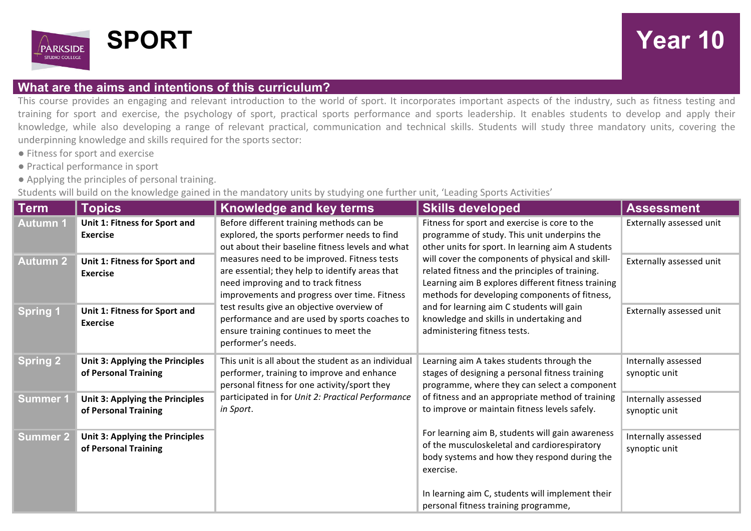

## **SPORT Year 10**

## **What are the aims and intentions of this curriculum?**

This course provides an engaging and relevant introduction to the world of sport. It incorporates important aspects of the industry, such as fitness testing and training for sport and exercise, the psychology of sport, practical sports performance and sports leadership. It enables students to develop and apply their knowledge, while also developing a range of relevant practical, communication and technical skills. Students will study three mandatory units, covering the underpinning knowledge and skills required for the sports sector:

- Fitness for sport and exercise
- ● Practical performance in sport
- Applying the principles of personal training.

Students will build on the knowledge gained in the mandatory units by studying one further unit, 'Leading Sports Activities'

| $\mid$ Term     | <b>Topics</b>                                           | Knowledge and key terms                                                                                                                                                                                                                                                                                                                             | <b>Skills developed</b>                                                                                                                                                                                                                                                                                                            | <b>Assessment</b>                    |
|-----------------|---------------------------------------------------------|-----------------------------------------------------------------------------------------------------------------------------------------------------------------------------------------------------------------------------------------------------------------------------------------------------------------------------------------------------|------------------------------------------------------------------------------------------------------------------------------------------------------------------------------------------------------------------------------------------------------------------------------------------------------------------------------------|--------------------------------------|
| <b>Autumn 1</b> | Unit 1: Fitness for Sport and<br><b>Exercise</b>        | Before different training methods can be<br>explored, the sports performer needs to find<br>out about their baseline fitness levels and what                                                                                                                                                                                                        | Fitness for sport and exercise is core to the<br>programme of study. This unit underpins the<br>other units for sport. In learning aim A students                                                                                                                                                                                  | Externally assessed unit             |
| <b>Autumn 2</b> | Unit 1: Fitness for Sport and<br><b>Exercise</b>        | measures need to be improved. Fitness tests<br>are essential; they help to identify areas that<br>need improving and to track fitness<br>improvements and progress over time. Fitness<br>test results give an objective overview of<br>performance and are used by sports coaches to<br>ensure training continues to meet the<br>performer's needs. | will cover the components of physical and skill-<br>related fitness and the principles of training.<br>Learning aim B explores different fitness training<br>methods for developing components of fitness,<br>and for learning aim C students will gain<br>knowledge and skills in undertaking and<br>administering fitness tests. | Externally assessed unit             |
| <b>Spring 1</b> | Unit 1: Fitness for Sport and<br><b>Exercise</b>        |                                                                                                                                                                                                                                                                                                                                                     |                                                                                                                                                                                                                                                                                                                                    | Externally assessed unit             |
| <b>Spring 2</b> | Unit 3: Applying the Principles<br>of Personal Training | This unit is all about the student as an individual<br>performer, training to improve and enhance<br>personal fitness for one activity/sport they<br>participated in for Unit 2: Practical Performance<br>in Sport.                                                                                                                                 | Learning aim A takes students through the<br>stages of designing a personal fitness training<br>programme, where they can select a component<br>of fitness and an appropriate method of training<br>to improve or maintain fitness levels safely.                                                                                  | Internally assessed<br>synoptic unit |
| <b>Summer 1</b> | Unit 3: Applying the Principles<br>of Personal Training |                                                                                                                                                                                                                                                                                                                                                     |                                                                                                                                                                                                                                                                                                                                    | Internally assessed<br>synoptic unit |
| <b>Summer 2</b> | Unit 3: Applying the Principles<br>of Personal Training |                                                                                                                                                                                                                                                                                                                                                     | For learning aim B, students will gain awareness<br>of the musculoskeletal and cardiorespiratory<br>body systems and how they respond during the<br>exercise.                                                                                                                                                                      | Internally assessed<br>synoptic unit |
|                 |                                                         |                                                                                                                                                                                                                                                                                                                                                     | In learning aim C, students will implement their<br>personal fitness training programme,                                                                                                                                                                                                                                           |                                      |